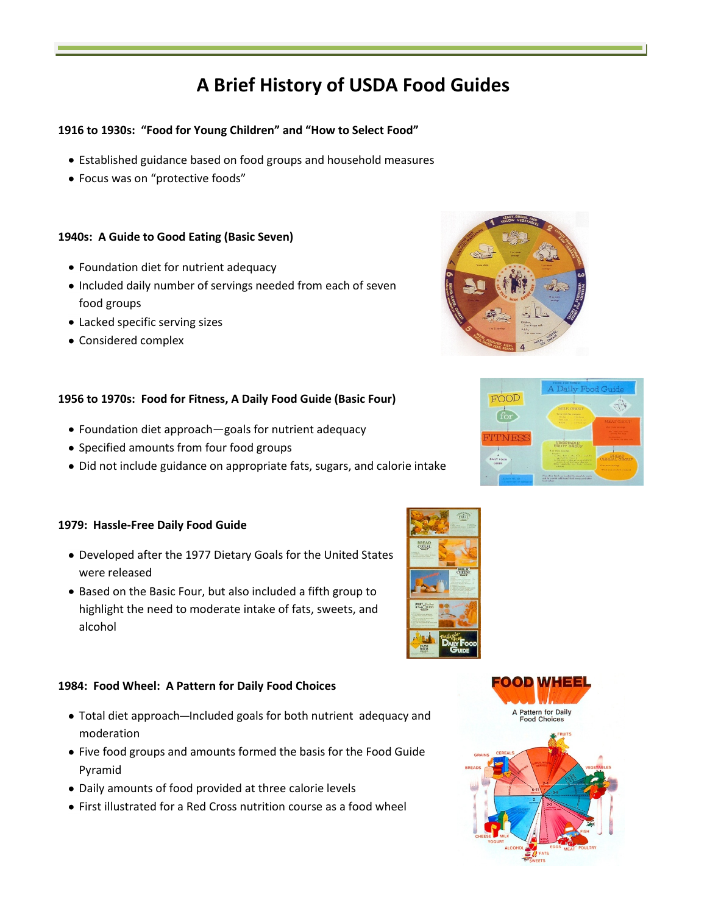# **A Brief History of USDA Food Guides**

# **1916 to 1930s: "Food for Young Children" and "How to Select Food"**

- Established guidance based on food groups and household measures
- Focus was on "protective foods"

## **1940s: A Guide to Good Eating (Basic Seven)**

- Foundation diet for nutrient adequacy
- Included daily number of servings needed from each of seven food groups
- Lacked specific serving sizes
- Considered complex

## **1956 to 1970s: Food for Fitness, A Daily Food Guide (Basic Four)**

- Foundation diet approach—goals for nutrient adequacy
- Specified amounts from four food groups
- Did not include guidance on appropriate fats, sugars, and calorie intake

## **1979: Hassle-Free Daily Food Guide**

- Developed after the 1977 Dietary Goals for the United States were released
- Based on the Basic Four, but also included a fifth group to highlight the need to moderate intake of fats, sweets, and alcohol

## **1984: Food Wheel: A Pattern for Daily Food Choices**

- Total diet approach-Included goals for both nutrient adequacy and moderation
- Five food groups and amounts formed the basis for the Food Guide Pyramid
- Daily amounts of food provided at three calorie levels
- First illustrated for a Red Cross nutrition course as a food wheel